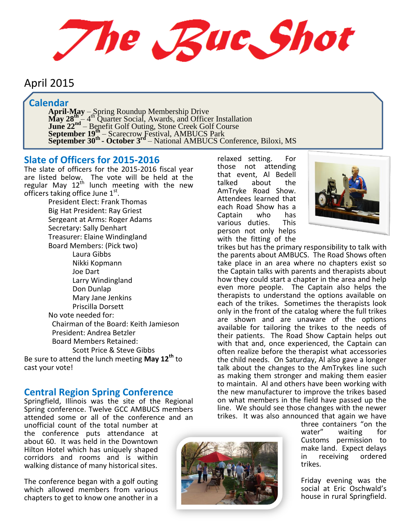The Rue Shot

# April 2015

## **Calendar**

**April-May** – Spring Roundup Membership Drive **May**  $28\frac{\text{th}}{\text{s}} - 4\frac{\text{th}}{\text{N}}$  **Quarter Social, Awards, and Officer Installation June 22<sup>nd</sup>** – Benefit Golf Outing, Stone Creek Golf Course **September 19th** – Scarecrow Festival, AMBUCS Park **September 30<sup>th</sup>** - October 3<sup>rd</sup> – National AMBUCS Conference, Biloxi, MS

### **Slate of Officers for 2015-2016**

The slate of officers for the 2015-2016 fiscal year are listed below. The vote will be held at the regular May 12<sup>th</sup> lunch meeting with the new officers taking office June 1<sup>st</sup>.

President Elect: Frank Thomas Big Hat President: Ray Griest Sergeant at Arms: Roger Adams Secretary: Sally Denhart Treasurer: Elaine Windingland Board Members: (Pick two) Laura Gibbs Nikki Kopmann Joe Dart Larry Windingland Don Dunlap Mary Jane Jenkins Priscilla Dorsett No vote needed for: Chairman of the Board: Keith Jamieson President: Andrea Betzler Board Members Retained: Scott Price & Steve Gibbs Be sure to attend the lunch meeting **May 12th** to cast your vote!

### **Central Region Spring Conference**

Springfield, Illinois was the site of the Regional Spring conference. Twelve GCC AMBUCS members attended some or all of the conference and an

unofficial count of the total number at the conference puts attendance at about 60. It was held in the Downtown Hilton Hotel which has uniquely shaped corridors and rooms and is within walking distance of many historical sites.

The conference began with a golf outing which allowed members from various chapters to get to know one another in a relaxed setting. For those not attending that event, Al Bedell about the AmTryke Road Show. Attendees learned that each Road Show has a<br>Cantain who has Captain who has<br>various duties. This various duties. person not only helps with the fitting of the



trikes but has the primary responsibility to talk with the parents about AMBUCS. The Road Shows often take place in an area where no chapters exist so the Captain talks with parents and therapists about how they could start a chapter in the area and help even more people. The Captain also helps the therapists to understand the options available on each of the trikes. Sometimes the therapists look only in the front of the catalog where the full trikes are shown and are unaware of the options available for tailoring the trikes to the needs of their patients. The Road Show Captain helps out with that and, once experienced, the Captain can often realize before the therapist what accessories the child needs. On Saturday, Al also gave a longer talk about the changes to the AmTrykes line such as making them stronger and making them easier to maintain. Al and others have been working with the new manufacturer to improve the trikes based on what members in the field have passed up the line. We should see those changes with the newer trikes. It was also announced that again we have

three containers "on the<br>water" waiting for waiting Customs permission to make land. Expect delays<br>in receiving ordered in receiving trikes.

Friday evening was the social at Eric Oschwald's house in rural Springfield.

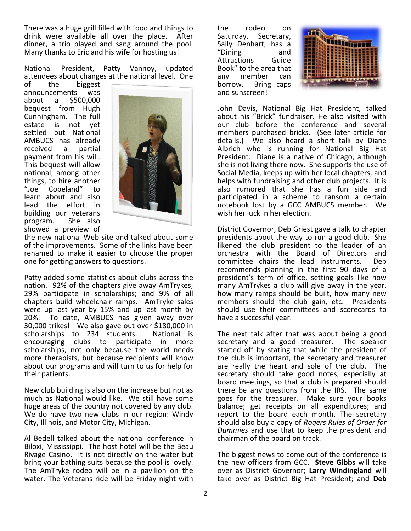There was a huge grill filled with food and things to drink were available all over the place. After dinner, a trio played and sang around the pool. Many thanks to Eric and his wife for hosting us!

National President, Patty Vannoy, updated attendees about changes at the national level. One

of the biggest announcements was about a \$500,000 bequest from Hugh Cunningham. The full estate is not yet settled but National AMBUCS has already<br>received a partial received a payment from his will. This bequest will allow national, among other things, to hire another<br>"Joe Copeland" to Copeland" to learn about and also lead the effort in building our veterans program. She also showed a preview of



the new national Web site and talked about some of the improvements. Some of the links have been renamed to make it easier to choose the proper one for getting answers to questions.

Patty added some statistics about clubs across the nation. 92% of the chapters give away AmTrykes; 29% participate in scholarships; and 9% of all chapters build wheelchair ramps. AmTryke sales were up last year by 15% and up last month by 20%. To date, AMBUCS has given away over 30,000 trikes! We also gave out over \$180,000 in scholarships to 234 students. National is encouraging clubs to participate in more scholarships, not only because the world needs more therapists, but because recipients will know about our programs and will turn to us for help for their patients.

New club building is also on the increase but not as much as National would like. We still have some huge areas of the country not covered by any club. We do have two new clubs in our region: Windy City, Illinois, and Motor City, Michigan.

Al Bedell talked about the national conference in Biloxi, Mississippi. The host hotel will be the Beau Rivage Casino. It is not directly on the water but bring your bathing suits because the pool is lovely. The AmTryke rodeo will be in a pavilion on the water. The Veterans ride will be Friday night with the rodeo on<br>Saturday. Secretary, Secretary, Sally Denhart, has a<br>"Dining and  $"$ Dining Attractions Guide Book" to the area that any member can borrow. Bring caps and sunscreen!



John Davis, National Big Hat President, talked about his "Brick" fundraiser. He also visited with our club before the conference and several members purchased bricks. (See later article for details.) We also heard a short talk by Diane Albrich who is running for National Big Hat President. Diane is a native of Chicago, although she is not living there now. She supports the use of Social Media, keeps up with her local chapters, and helps with fundraising and other club projects. It is also rumored that she has a fun side and participated in a scheme to ransom a certain notebook lost by a GCC AMBUCS member. We wish her luck in her election.

District Governor, Deb Griest gave a talk to chapter presidents about the way to run a good club. She likened the club president to the leader of an orchestra with the Board of Directors and committee chairs the lead instruments. Deb recommends planning in the first 90 days of a president's term of office, setting goals like how many AmTrykes a club will give away in the year, how many ramps should be built, how many new members should the club gain, etc. Presidents should use their committees and scorecards to have a successful year.

The next talk after that was about being a good secretary and a good treasurer. The speaker started off by stating that while the president of the club is important, the secretary and treasurer are really the heart and sole of the club. The secretary should take good notes, especially at board meetings, so that a club is prepared should there be any questions from the IRS. The same goes for the treasurer. Make sure your books balance; get receipts on all expenditures; and report to the board each month. The secretary should also buy a copy of *Rogers Rules of Order for Dummies* and use that to keep the president and chairman of the board on track.

The biggest news to come out of the conference is the new officers from GCC. **Steve Gibbs** will take over as District Governor; **Larry Windingland** will take over as District Big Hat President; and **Deb**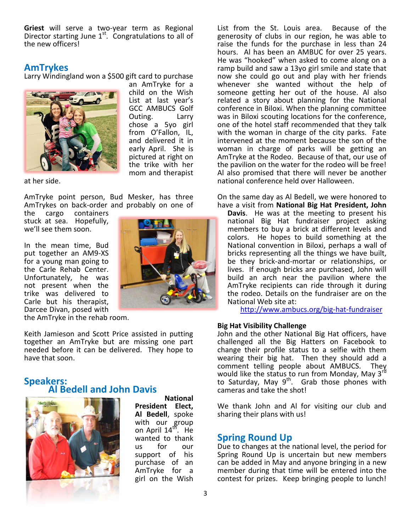**Griest** will serve a two-year term as Regional Director starting June  $1<sup>st</sup>$ . Congratulations to all of the new officers!

#### **AmTrykes**

Larry Windingland won a \$500 gift card to purchase



an AmTryke for a child on the Wish List at last year's GCC AMBUCS Golf Outing. Larry chose a 5yo girl from O'Fallon, IL, and delivered it in early April. She is pictured at right on the trike with her mom and therapist

at her side.

AmTryke point person, Bud Mesker, has three AmTrykes on back-order and probably on one of

the cargo containers stuck at sea. Hopefully, we'll see them soon.

In the mean time, Bud put together an AM9-XS for a young man going to the Carle Rehab Center. Unfortunately, he was not present when the trike was delivered to Carle but his therapist, Darcee Divan, posed with

the AmTryke in the rehab room.

Keith Jamieson and Scott Price assisted in putting together an AmTryke but are missing one part needed before it can be delivered. They hope to have that soon.

#### **Speakers: Al Bedell and John Davis**



**National President Elect, Al Bedell**, spoke with our group on April 14<sup>th</sup>. He wanted to thank us for our support of his purchase of an AmTryke for a girl on the Wish

List from the St. Louis area. Because of the generosity of clubs in our region, he was able to raise the funds for the purchase in less than 24 hours. Al has been an AMBUC for over 25 years. He was "hooked" when asked to come along on a ramp build and saw a 13yo girl smile and state that now she could go out and play with her friends whenever she wanted without the help of someone getting her out of the house. Al also related a story about planning for the National conference in Biloxi. When the planning committee was in Biloxi scouting locations for the conference, one of the hotel staff recommended that they talk with the woman in charge of the city parks. Fate intervened at the moment because the son of the woman in charge of parks will be getting an AmTryke at the Rodeo. Because of that, our use of the pavilion on the water for the rodeo will be free! Al also promised that there will never be another national conference held over Halloween.

On the same day as Al Bedell, we were honored to have a visit from **National Big Hat President, John** 

**Davis**. He was at the meeting to present his national Big Hat fundraiser project asking members to buy a brick at different levels and colors. He hopes to build something at the National convention in Biloxi, perhaps a wall of bricks representing all the things we have built, be they brick-and-mortar or relationships, or lives. If enough bricks are purchased, John will build an arch near the pavilion where the AmTryke recipients can ride through it during the rodeo. Details on the fundraiser are on the National Web site at:

<http://www.ambucs.org/big-hat-fundraiser>

#### **Big Hat Visibility Challenge**

John and the other National Big Hat officers, have challenged all the Big Hatters on Facebook to change their profile status to a selfie with them wearing their big hat. Then they should add a comment telling people about AMBUCS. They would like the status to run from Monday, May 3<sup>rd</sup> to Saturday, May  $9^{th}$ . Grab those phones with cameras and take the shot!

We thank John and Al for visiting our club and sharing their plans with us!

#### **Spring Round Up**

Due to changes at the national level, the period for Spring Round Up is uncertain but new members can be added in May and anyone bringing in a new member during that time will be entered into the contest for prizes. Keep bringing people to lunch!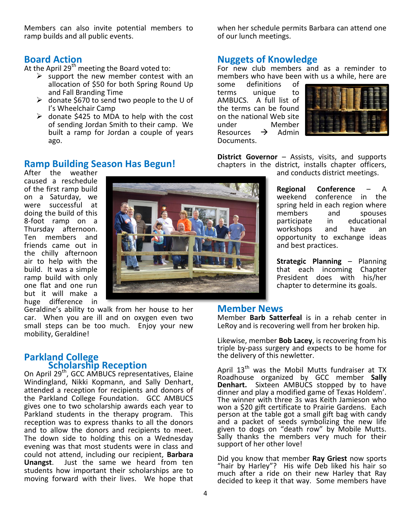Members can also invite potential members to ramp builds and all public events.

### **Board Action**

At the April  $29<sup>th</sup>$  meeting the Board voted to:

- $\triangleright$  support the new member contest with an allocation of \$50 for both Spring Round Up and Fall Branding Time
- donate \$670 to send two people to the U of I's Wheelchair Camp
- $\triangleright$  donate \$425 to MDA to help with the cost of sending Jordan Smith to their camp. We built a ramp for Jordan a couple of years ago.

### **Ramp Building Season Has Begun!**

After the weather caused a reschedule of the first ramp build on a Saturday, we were successful at doing the build of this 8-foot ramp on a Thursday afternoon. Ten members and friends came out in the chilly afternoon air to help with the build. It was a simple ramp build with only one flat and one run but it will make a huge difference in

Geraldine's ability to walk from her house to her car. When you are ill and on oxygen even two small steps can be too much. Enjoy your new mobility, Geraldine!

### **Parkland College Scholarship Reception**

On April 29th, GCC AMBUCS representatives, Elaine Windingland, Nikki Kopmann, and Sally Denhart, attended a reception for recipients and donors of the Parkland College Foundation. GCC AMBUCS gives one to two scholarship awards each year to Parkland students in the therapy program. This reception was to express thanks to all the donors and to allow the donors and recipients to meet. The down side to holding this on a Wednesday evening was that most students were in class and could not attend, including our recipient, **Barbara Unangst**. Just the same we heard from ten students how important their scholarships are to moving forward with their lives. We hope that



when her schedule permits Barbara can attend one of our lunch meetings.

### **Nuggets of Knowledge**

For new club members and as a reminder to members who have been with us a while, here are<br>some definitions of

definitions terms unique to AMBUCS. A full list of the terms can be found on the national Web site<br>under Member Member<br>  $\rightarrow$  Admin Resources Documents.



**District Governor** – Assists, visits, and supports chapters in the district, installs chapter officers, and conducts district meetings.

> **Regional Conference** – A weekend conference in the spring held in each region where members and spouses participate in educational<br>workshops and have an workshops and have an opportunity to exchange ideas and best practices.

> **Strategic Planning** – Planning that each incoming Chapter President does with his/her chapter to determine its goals.

### **Member News**

Member **Barb Satterfeal** is in a rehab center in LeRoy and is recovering well from her broken hip.

Likewise, member **Bob Lacey**, is recovering from his triple by-pass surgery and expects to be home for the delivery of this newletter.

April  $13<sup>th</sup>$  was the Mobil Mutts fundraiser at TX Roadhouse organized by GCC member **Sally Denhart.** Sixteen AMBUCS stopped by to have dinner and play a modified game of Texas Holdem'. The winner with three 3s was Keith Jamieson who won a \$20 gift certificate to Prairie Gardens. Each person at the table got a small gift bag with candy and a packet of seeds symbolizing the new life given to dogs on "death row" by Mobile Mutts. Sally thanks the members very much for their support of her other love!

Did you know that member **Ray Griest** now sports "hair by Harley"? His wife Deb liked his hair so much after a ride on their new Harley that Ray decided to keep it that way. Some members have